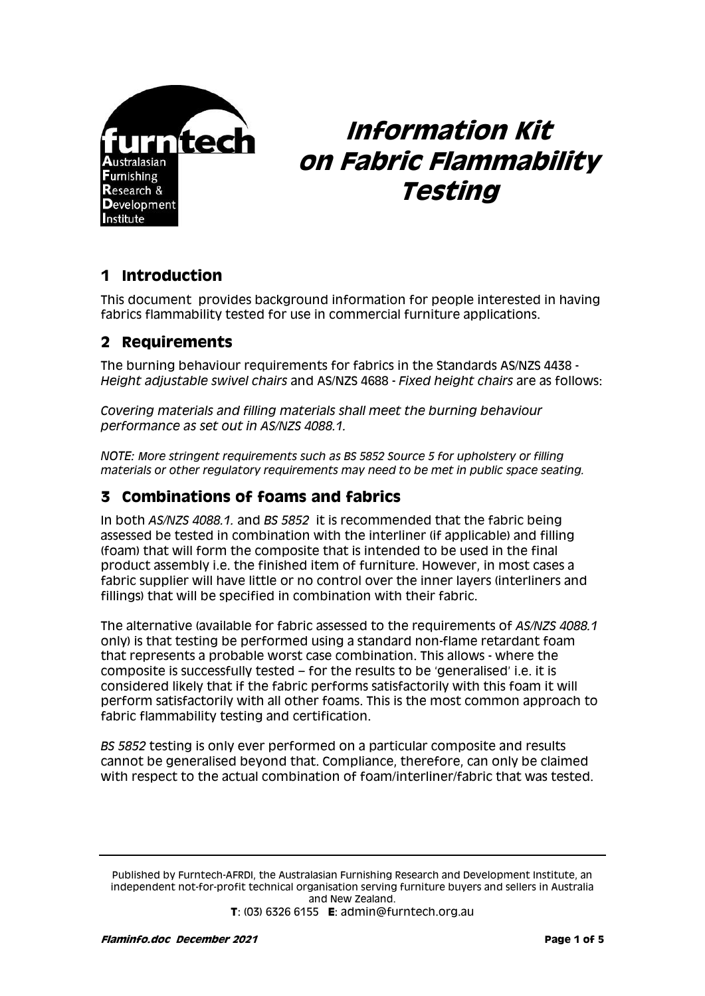

# **Information Kit on Fabric Flammability Testing**

# **1 Introduction**

This document provides background information for people interested in having fabrics flammability tested for use in commercial furniture applications.

## **2 Requirements**

The burning behaviour requirements for fabrics in the Standards AS/NZS 4438 - *Height adjustable swivel chairs* and AS/NZS 4688 - *Fixed height chairs* are as follows:

*Covering materials and filling materials shall meet the burning behaviour performance as set out in AS/NZS 4088.1.*

*NOTE: More stringent requirements such as BS 5852 Source 5 for upholstery or filling materials or other regulatory requirements may need to be met in public space seating.* 

## **3 Combinations of foams and fabrics**

In both *AS/NZS 4088.1.* and *BS 5852* it is recommended that the fabric being assessed be tested in combination with the interliner (if applicable) and filling (foam) that will form the composite that is intended to be used in the final product assembly i.e. the finished item of furniture. However, in most cases a fabric supplier will have little or no control over the inner layers (interliners and fillings) that will be specified in combination with their fabric.

The alternative (available for fabric assessed to the requirements of *AS/NZS 4088.1*  only) is that testing be performed using a standard non-flame retardant foam that represents a probable worst case combination. This allows - where the composite is successfully tested – for the results to be 'generalised' i.e. it is considered likely that if the fabric performs satisfactorily with this foam it will perform satisfactorily with all other foams. This is the most common approach to fabric flammability testing and certification.

*BS 5852* testing is only ever performed on a particular composite and results cannot be generalised beyond that. Compliance, therefore, can only be claimed with respect to the actual combination of foam/interliner/fabric that was tested.

Published by Furntech-AFRDI, the Australasian Furnishing Research and Development Institute, an independent not-for-profit technical organisation serving furniture buyers and sellers in Australia and New Zealand. **T**: (03) 6326 6155 **E**: admin@furntech.org.au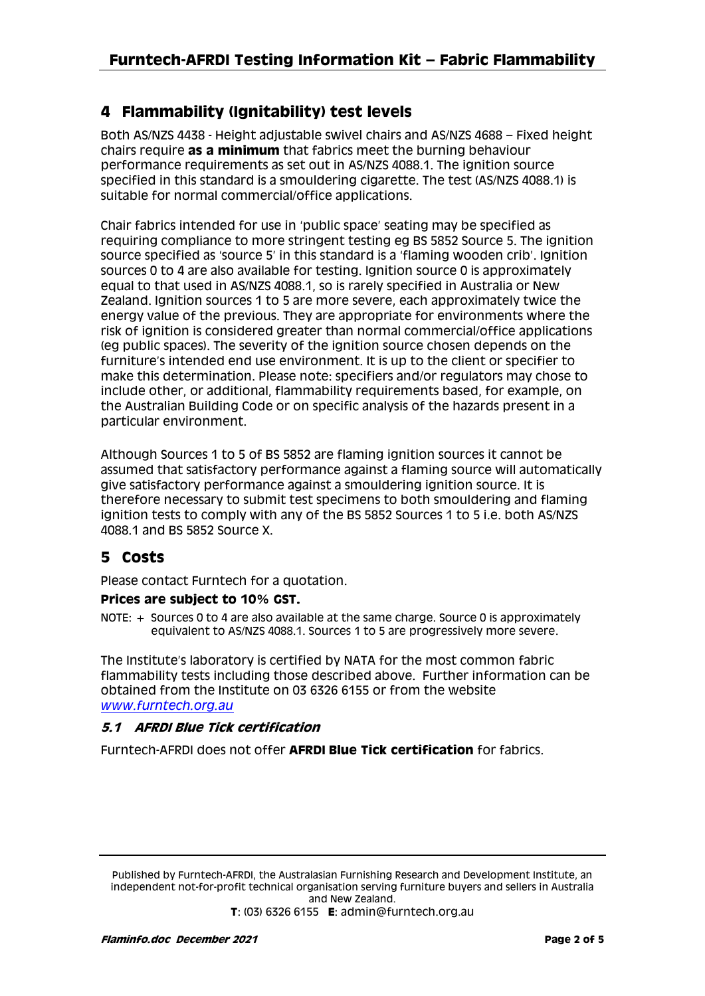## **4 Flammability (Ignitability) test levels**

Both AS/NZS 4438 - Height adjustable swivel chairs and AS/NZS 4688 – Fixed height chairs require **as a minimum** that fabrics meet the burning behaviour performance requirements as set out in AS/NZS 4088.1. The ignition source specified in this standard is a smouldering cigarette. The test (AS/NZS 4088.1) is suitable for normal commercial/office applications.

Chair fabrics intended for use in 'public space' seating may be specified as requiring compliance to more stringent testing eg BS 5852 Source 5. The ignition source specified as 'source 5' in this standard is a 'flaming wooden crib'. Ignition sources 0 to 4 are also available for testing. Ignition source 0 is approximately equal to that used in AS/NZS 4088.1, so is rarely specified in Australia or New Zealand. Ignition sources 1 to 5 are more severe, each approximately twice the energy value of the previous. They are appropriate for environments where the risk of ignition is considered greater than normal commercial/office applications (eg public spaces). The severity of the ignition source chosen depends on the furniture's intended end use environment. It is up to the client or specifier to make this determination. Please note: specifiers and/or regulators may chose to include other, or additional, flammability requirements based, for example, on the Australian Building Code or on specific analysis of the hazards present in a particular environment.

Although Sources 1 to 5 of BS 5852 are flaming ignition sources it cannot be assumed that satisfactory performance against a flaming source will automatically give satisfactory performance against a smouldering ignition source. It is therefore necessary to submit test specimens to both smouldering and flaming ignition tests to comply with any of the BS 5852 Sources 1 to 5 i.e. both AS/NZS 4088.1 and BS 5852 Source X.

# **5 Costs**

Please contact Furntech for a quotation.

### **Prices are subject to 10% GST.**

NOTE: + Sources 0 to 4 are also available at the same charge. Source 0 is approximately equivalent to AS/NZS 4088.1. Sources 1 to 5 are progressively more severe.

The Institute's laboratory is certified by NATA for the most common fabric flammability tests including those described above. Further information can be obtained from the Institute on 03 6326 6155 or from the website *[www.furntech.org.au](http://www.furntech.org.au/)*

### **5.1 AFRDI Blue Tick certification**

Furntech-AFRDI does not offer **AFRDI Blue Tick certification** for fabrics.

Published by Furntech-AFRDI, the Australasian Furnishing Research and Development Institute, an independent not-for-profit technical organisation serving furniture buyers and sellers in Australia and New Zealand.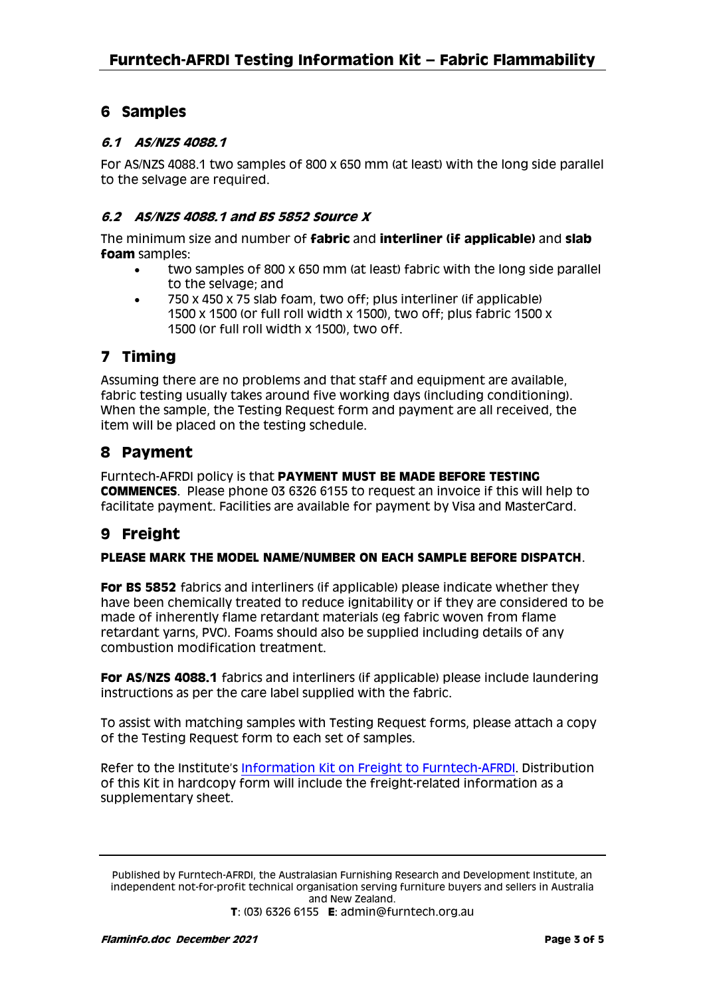## **6 Samples**

## **6.1 AS/NZS 4088.1**

For AS/NZS 4088.1 two samples of 800 x 650 mm (at least) with the long side parallel to the selvage are required.

## **6.2 AS/NZS 4088.1 and BS 5852 Source X**

The minimum size and number of **fabric** and **interliner (if applicable)** and **slab foam** samples:

- two samples of 800 x 650 mm (at least) fabric with the long side parallel to the selvage; and
- 750 x 450 x 75 slab foam, two off; plus interliner (if applicable) 1500 x 1500 (or full roll width x 1500), two off; plus fabric 1500 x 1500 (or full roll width x 1500), two off.

## **7 Timing**

Assuming there are no problems and that staff and equipment are available, fabric testing usually takes around five working days (including conditioning). When the sample, the Testing Request form and payment are all received, the item will be placed on the testing schedule.

## **8 Payment**

Furntech-AFRDI policy is that **PAYMENT MUST BE MADE BEFORE TESTING COMMENCES**. Please phone 03 6326 6155 to request an invoice if this will help to facilitate payment. Facilities are available for payment by Visa and MasterCard.

## **9 Freight**

### **PLEASE MARK THE MODEL NAME/NUMBER ON EACH SAMPLE BEFORE DISPATCH**.

**For BS 5852** fabrics and interliners (if applicable) please indicate whether they have been chemically treated to reduce ignitability or if they are considered to be made of inherently flame retardant materials (eg fabric woven from flame retardant yarns, PVC). Foams should also be supplied including details of any combustion modification treatment.

**For AS/NZS 4088.1** fabrics and interliners (if applicable) please include laundering instructions as per the care label supplied with the fabric.

To assist with matching samples with Testing Request forms, please attach a copy of the Testing Request form to each set of samples.

Refer to the Institute's [Information Kit on Freight to Furntech-AFRDI.](http://furntech.org.au/pdf/index.php?dir=Corporate/&file=FreightInfo.pdf) Distribution of this Kit in hardcopy form will include the freight-related information as a supplementary sheet.

Published by Furntech-AFRDI, the Australasian Furnishing Research and Development Institute, an independent not-for-profit technical organisation serving furniture buyers and sellers in Australia and New Zealand.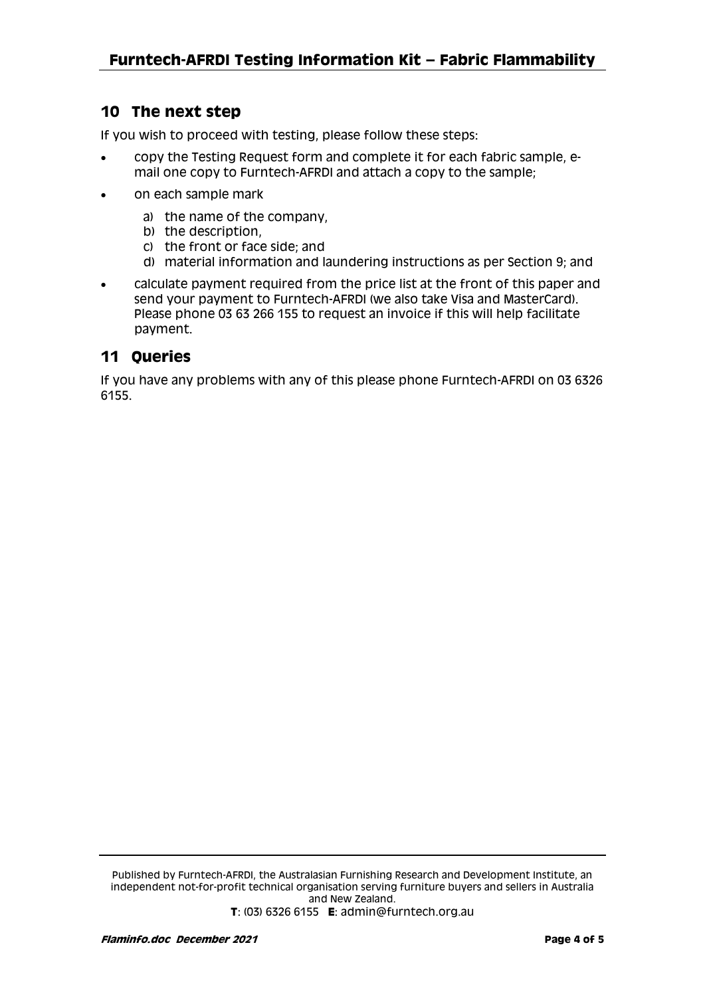## **10 The next step**

If you wish to proceed with testing, please follow these steps:

- copy the Testing Request form and complete it for each fabric sample, email one copy to Furntech-AFRDI and attach a copy to the sample;
- on each sample mark
	- a) the name of the company,
	- b) the description,
	- c) the front or face side; and
	- d) material information and laundering instructions as per Section 9; and
- calculate payment required from the price list at the front of this paper and send your payment to Furntech-AFRDI (we also take Visa and MasterCard). Please phone 03 63 266 155 to request an invoice if this will help facilitate payment.

## **11 Queries**

If you have any problems with any of this please phone Furntech-AFRDI on 03 6326 6155.

Published by Furntech-AFRDI, the Australasian Furnishing Research and Development Institute, an independent not-for-profit technical organisation serving furniture buyers and sellers in Australia and New Zealand. **T**: (03) 6326 6155 **E**: admin@furntech.org.au